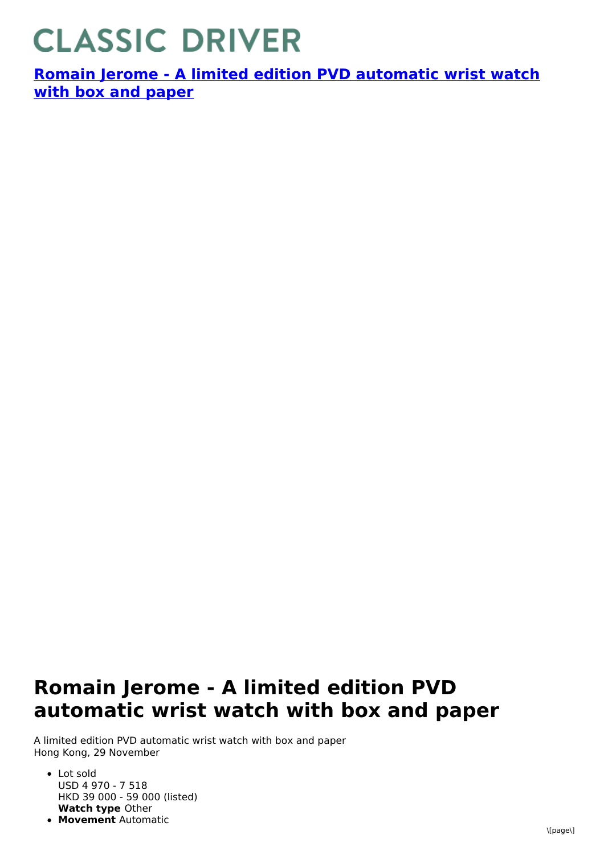## **CLASSIC DRIVER**

**Romain Jerome - A limited edition PVD [automatic](https://www.classicdriver.com/en/watch/romain-jerome/266966) wrist watch with box and paper**

## **Romain Jerome - A limited edition PVD automatic wrist watch with box and paper**

A limited edition PVD automatic wrist watch with box and paper Hong Kong, 29 November

- **Watch type** Other Lot sold USD 4 970 - 7 518 HKD 39 000 - 59 000 (listed)
- **Movement** Automatic